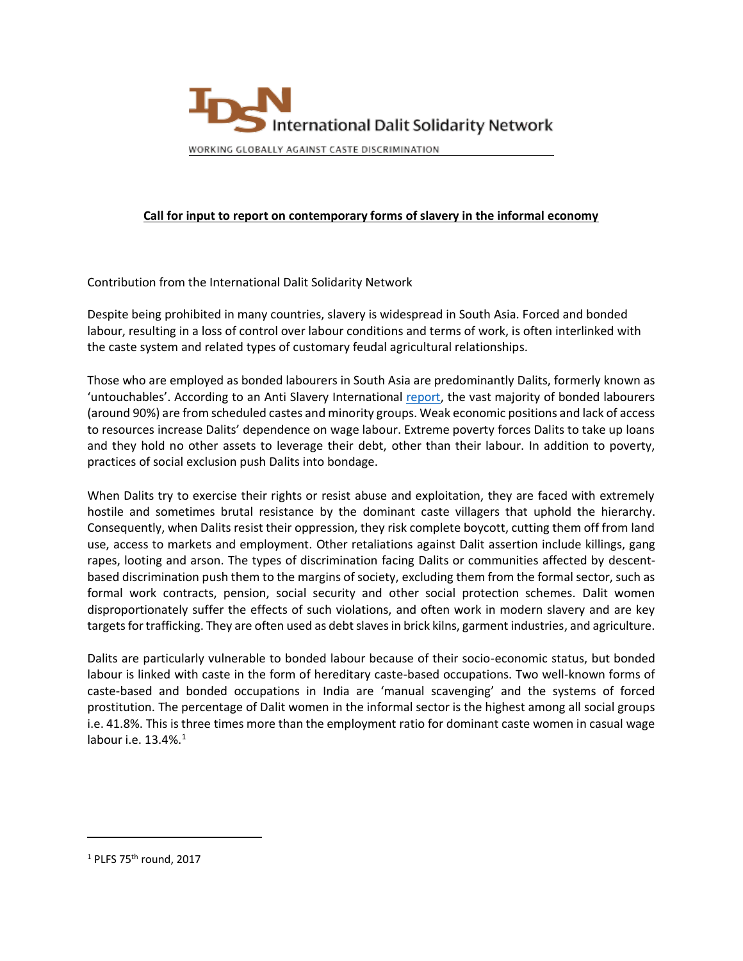

# **Call for input to report on contemporary forms of slavery in the informal economy**

Contribution from the International Dalit Solidarity Network

Despite being prohibited in many countries, slavery is widespread in South Asia. Forced and bonded labour, resulting in a loss of control over labour conditions and terms of work, is often interlinked with the caste system and related types of customary feudal agricultural relationships.

Those who are employed as bonded labourers in South Asia are predominantly Dalits, formerly known as 'untouchables'. According to an Anti Slavery International [report,](http://www.antislavery.org/includes/documents/cm_docs/2009/p/povertydiscriminationslaveryfinal.pdf) the vast majority of bonded labourers (around 90%) are from scheduled castes and minority groups. Weak economic positions and lack of access to resources increase Dalits' dependence on wage labour. Extreme poverty forces Dalits to take up loans and they hold no other assets to leverage their debt, other than their labour. In addition to poverty, practices of social exclusion push Dalits into bondage.

When Dalits try to exercise their rights or resist abuse and exploitation, they are faced with extremely hostile and sometimes brutal resistance by the dominant caste villagers that uphold the hierarchy. Consequently, when Dalits resist their oppression, they risk complete boycott, cutting them off from land use, access to markets and employment. Other retaliations against Dalit assertion include killings, gang rapes, looting and arson. The types of discrimination facing Dalits or communities affected by descentbased discrimination push them to the margins of society, excluding them from the formal sector, such as formal work contracts, pension, social security and other social protection schemes. Dalit women disproportionately suffer the effects of such violations, and often work in modern slavery and are key targets for trafficking. They are often used as debt slaves in brick kilns, garment industries, and agriculture.

Dalits are particularly vulnerable to bonded labour because of their socio-economic status, but bonded labour is linked with caste in the form of hereditary caste-based occupations. Two well-known forms of caste-based and bonded occupations in India are 'manual scavenging' and the systems of forced prostitution. The percentage of Dalit women in the informal sector is the highest among all social groups i.e. 41.8%. This is three times more than the employment ratio for dominant caste women in casual wage labour i.e. 13.4%. 1

<sup>&</sup>lt;sup>1</sup> PLFS 75<sup>th</sup> round, 2017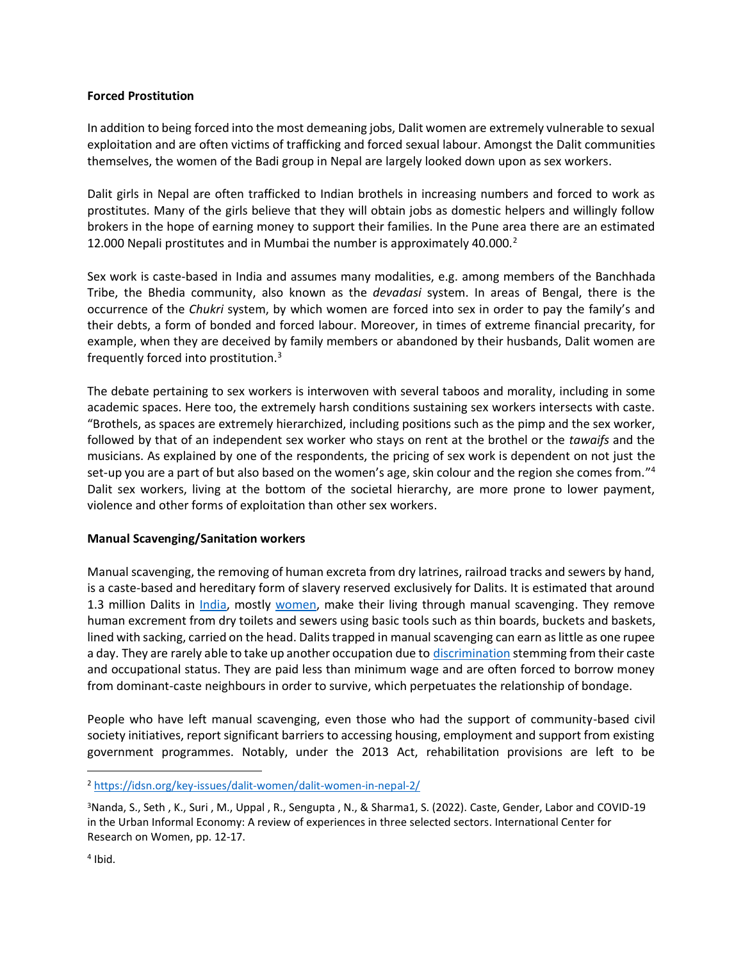### **Forced Prostitution**

In addition to being forced into the most demeaning jobs, Dalit women are extremely vulnerable to sexual exploitation and are often victims of trafficking and forced sexual labour. Amongst the Dalit communities themselves, the women of the Badi group in Nepal are largely looked down upon as sex workers.

Dalit girls in Nepal are often trafficked to Indian brothels in increasing numbers and forced to work as prostitutes. Many of the girls believe that they will obtain jobs as domestic helpers and willingly follow brokers in the hope of earning money to support their families. In the Pune area there are an estimated 12.000 Nepali prostitutes and in Mumbai the number is approximately 40.000. $^2$ 

Sex work is caste-based in India and assumes many modalities, e.g. among members of the Banchhada Tribe, the Bhedia community, also known as the *devadasi* system. In areas of Bengal, there is the occurrence of the *Chukri* system, by which women are forced into sex in order to pay the family's and their debts, a form of bonded and forced labour. Moreover, in times of extreme financial precarity, for example, when they are deceived by family members or abandoned by their husbands, Dalit women are frequently forced into prostitution. 3

The debate pertaining to sex workers is interwoven with several taboos and morality, including in some academic spaces. Here too, the extremely harsh conditions sustaining sex workers intersects with caste. "Brothels, as spaces are extremely hierarchized, including positions such as the pimp and the sex worker, followed by that of an independent sex worker who stays on rent at the brothel or the *tawaifs* and the musicians. As explained by one of the respondents, the pricing of sex work is dependent on not just the set-up you are a part of but also based on the women's age, skin colour and the region she comes from." 4 Dalit sex workers, living at the bottom of the societal hierarchy, are more prone to lower payment, violence and other forms of exploitation than other sex workers.

# **Manual Scavenging/Sanitation workers**

Manual scavenging, the removing of human excreta from dry latrines, railroad tracks and sewers by hand, is a caste-based and hereditary form of slavery reserved exclusively for Dalits. It is estimated that around 1.3 million Dalits in [India,](https://idsn.org/india/) mostly [women,](https://idsn.org/dalit-women/) make their living through manual scavenging. They remove human excrement from dry toilets and sewers using basic tools such as thin boards, buckets and baskets, lined with sacking, carried on the head. Dalits trapped in manual scavenging can earn as little as one rupee a day. They are rarely able to take up another occupation due to [discrimination](https://idsn.org/caste-discrimination/) stemming from their caste and occupational status. They are paid less than minimum wage and are often forced to borrow money from dominant-caste neighbours in order to survive, which perpetuates the relationship of bondage.

People who have left manual scavenging, even those who had the support of community-based civil society initiatives, report significant barriers to accessing housing, employment and support from existing government programmes. Notably, under the 2013 Act, rehabilitation provisions are left to be

<sup>2</sup> <https://idsn.org/key-issues/dalit-women/dalit-women-in-nepal-2/>

<sup>3</sup>Nanda, S., Seth , K., Suri , M., Uppal , R., Sengupta , N., & Sharma1, S. (2022). Caste, Gender, Labor and COVID-19 in the Urban Informal Economy: A review of experiences in three selected sectors. International Center for Research on Women, pp. 12-17.

<sup>4</sup> Ibid.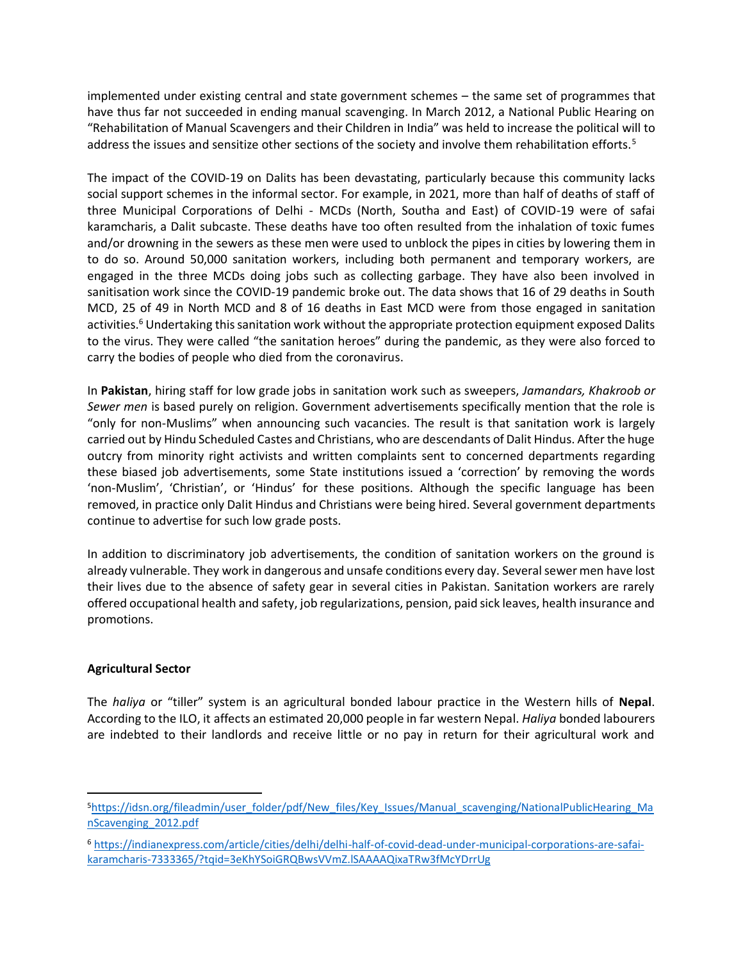implemented under existing central and state government schemes – the same set of programmes that have thus far not succeeded in ending manual scavenging. In March 2012, a National Public Hearing on "Rehabilitation of Manual Scavengers and their Children in India" was held to increase the political will to address the issues and sensitize other sections of the society and involve them rehabilitation efforts.<sup>5</sup>

The impact of the COVID-19 on Dalits has been devastating, particularly because this community lacks social support schemes in the informal sector. For example, in 2021, more than half of deaths of staff of three Municipal Corporations of Delhi - MCDs (North, Southa and East) of COVID-19 were of safai karamcharis, a Dalit subcaste. These deaths have too often resulted from the inhalation of toxic fumes and/or drowning in the sewers as these men were used to unblock the pipes in cities by lowering them in to do so. Around 50,000 sanitation workers, including both permanent and temporary workers, are engaged in the three MCDs doing jobs such as collecting garbage. They have also been involved in sanitisation work since the COVID-19 pandemic broke out. The data shows that 16 of 29 deaths in South MCD, 25 of 49 in North MCD and 8 of 16 deaths in East MCD were from those engaged in sanitation activities.<sup>6</sup> Undertaking this sanitation work without the appropriate protection equipment exposed Dalits to the virus. They were called "the sanitation heroes" during the pandemic, as they were also forced to carry the bodies of people who died from the coronavirus.

In **Pakistan**, hiring staff for low grade jobs in sanitation work such as sweepers, *Jamandars, Khakroob or Sewer men* is based purely on religion. Government advertisements specifically mention that the role is "only for non-Muslims" when announcing such vacancies. The result is that sanitation work is largely carried out by Hindu Scheduled Castes and Christians, who are descendants of Dalit Hindus. After the huge outcry from minority right activists and written complaints sent to concerned departments regarding these biased job advertisements, some State institutions issued a 'correction' by removing the words 'non-Muslim', 'Christian', or 'Hindus' for these positions. Although the specific language has been removed, in practice only Dalit Hindus and Christians were being hired. Several government departments continue to advertise for such low grade posts.

In addition to discriminatory job advertisements, the condition of sanitation workers on the ground is already vulnerable. They work in dangerous and unsafe conditions every day. Several sewer men have lost their lives due to the absence of safety gear in several cities in Pakistan. Sanitation workers are rarely offered occupational health and safety, job regularizations, pension, paid sick leaves, health insurance and promotions.

# **Agricultural Sector**

The *haliya* or "tiller" system is an agricultural bonded labour practice in the Western hills of **Nepal**. According to the ILO, it affects an estimated 20,000 people in far western Nepal. *Haliya* bonded labourers are indebted to their landlords and receive little or no pay in return for their agricultural work and

<sup>5</sup>[https://idsn.org/fileadmin/user\\_folder/pdf/New\\_files/Key\\_Issues/Manual\\_scavenging/NationalPublicHearing\\_Ma](https://idsn.org/fileadmin/user_folder/pdf/New_files/Key_Issues/Manual_scavenging/NationalPublicHearing_ManScavenging_2012.pdf) [nScavenging\\_2012.pdf](https://idsn.org/fileadmin/user_folder/pdf/New_files/Key_Issues/Manual_scavenging/NationalPublicHearing_ManScavenging_2012.pdf)

<sup>6</sup> [https://indianexpress.com/article/cities/delhi/delhi-half-of-covid-dead-under-municipal-corporations-are-safai](https://indianexpress.com/article/cities/delhi/delhi-half-of-covid-dead-under-municipal-corporations-are-safai-karamcharis-7333365/?tqid=3eKhYSoiGRQBwsVVmZ.lSAAAAQixaTRw3fMcYDrrUg)[karamcharis-7333365/?tqid=3eKhYSoiGRQBwsVVmZ.lSAAAAQixaTRw3fMcYDrrUg](https://indianexpress.com/article/cities/delhi/delhi-half-of-covid-dead-under-municipal-corporations-are-safai-karamcharis-7333365/?tqid=3eKhYSoiGRQBwsVVmZ.lSAAAAQixaTRw3fMcYDrrUg)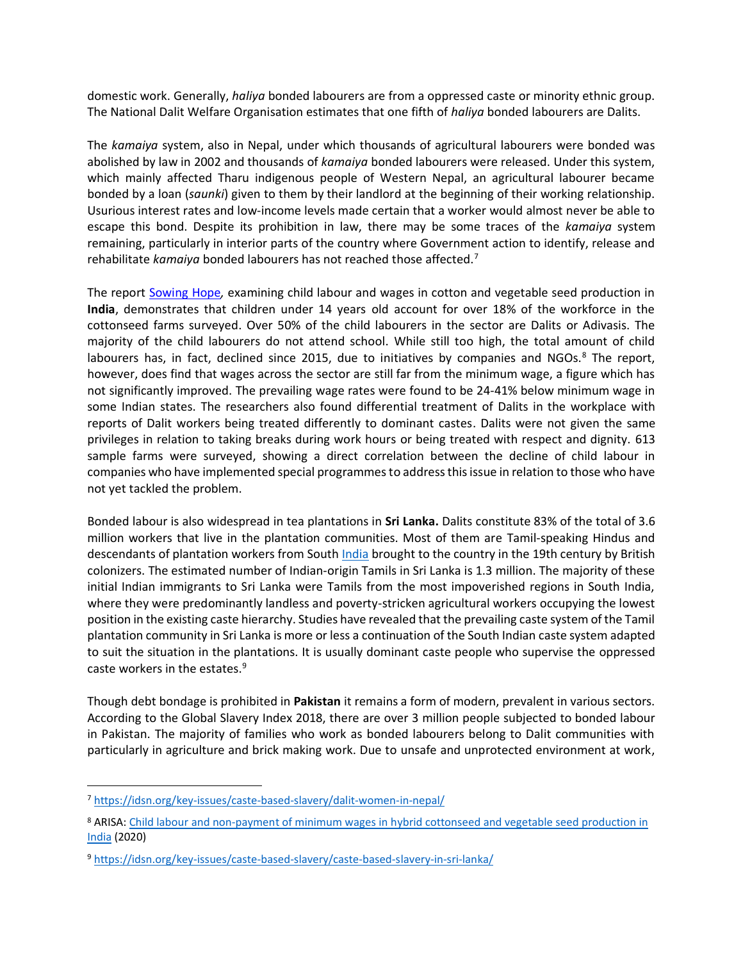domestic work. Generally, *haliya* bonded labourers are from a oppressed caste or minority ethnic group. The National Dalit Welfare Organisation estimates that one fifth of *haliya* bonded labourers are Dalits.

The *kamaiya* system, also in Nepal, under which thousands of agricultural labourers were bonded was abolished by law in 2002 and thousands of *kamaiya* bonded labourers were released. Under this system, which mainly affected Tharu indigenous people of Western Nepal, an agricultural labourer became bonded by a loan (*saunki*) given to them by their landlord at the beginning of their working relationship. Usurious interest rates and low-income levels made certain that a worker would almost never be able to escape this bond. Despite its prohibition in law, there may be some traces of the *kamaiya* system remaining, particularly in interior parts of the country where Government action to identify, release and rehabilitate *kamaiya* bonded labourers has not reached those affected.<sup>7</sup>

The report [Sowing Hope](https://arisa.nl/wp-content/uploads/SowingHope.pdf)*,* examining child labour and wages in cotton and vegetable seed production in **India**, demonstrates that children under 14 years old account for over 18% of the workforce in the cottonseed farms surveyed. Over 50% of the child labourers in the sector are Dalits or Adivasis. The majority of the child labourers do not attend school. While still too high, the total amount of child labourers has, in fact, declined since 2015, due to initiatives by companies and NGOs. $8$  The report, however, does find that wages across the sector are still far from the minimum wage, a figure which has not significantly improved. The prevailing wage rates were found to be 24-41% below minimum wage in some Indian states. The researchers also found differential treatment of Dalits in the workplace with reports of Dalit workers being treated differently to dominant castes. Dalits were not given the same privileges in relation to taking breaks during work hours or being treated with respect and dignity. 613 sample farms were surveyed, showing a direct correlation between the decline of child labour in companies who have implemented special programmes to address this issue in relation to those who have not yet tackled the problem.

Bonded labour is also widespread in tea plantations in **Sri Lanka.** Dalits constitute 83% of the total of 3.6 million workers that live in the plantation communities. Most of them are Tamil-speaking Hindus and descendants of plantation workers from South [India](https://idsn.org/india/) brought to the country in the 19th century by British colonizers. The estimated number of Indian-origin Tamils in Sri Lanka is 1.3 million. The majority of these initial Indian immigrants to Sri Lanka were Tamils from the most impoverished regions in South India, where they were predominantly landless and poverty-stricken agricultural workers occupying the lowest position in the existing caste hierarchy. Studies have revealed that the prevailing caste system of the Tamil plantation community in Sri Lanka is more or less a continuation of the South Indian caste system adapted to suit the situation in the plantations. It is usually dominant caste people who supervise the oppressed caste workers in the estates.<sup>9</sup>

Though debt bondage is prohibited in **Pakistan** it remains a form of modern, prevalent in various sectors. According to the Global Slavery Index 2018, there are over 3 million people subjected to bonded labour in Pakistan. The majority of families who work as bonded labourers belong to Dalit communities with particularly in agriculture and brick making work. Due to unsafe and unprotected environment at work,

<sup>7</sup> <https://idsn.org/key-issues/caste-based-slavery/dalit-women-in-nepal/>

<sup>8</sup> ARISA[: Child labour and non-payment of minimum wages in hybrid cottonseed and vegetable seed production in](https://arisa.nl/persbericht-200611/?lang=en)  [India](https://arisa.nl/persbericht-200611/?lang=en) (2020)

<sup>9</sup> <https://idsn.org/key-issues/caste-based-slavery/caste-based-slavery-in-sri-lanka/>